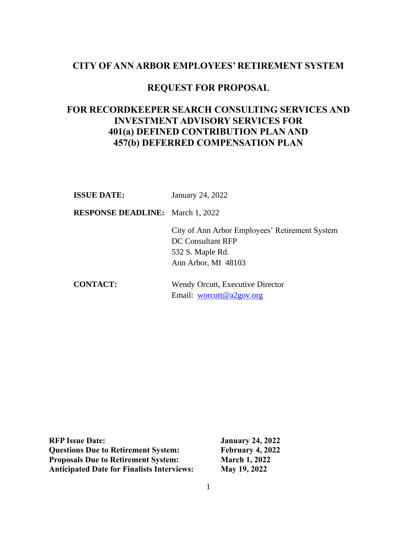## **CITY OF ANN ARBOR EMPLOYEES' RETIREMENT SYSTEM**

# **REQUEST FOR PROPOSAL**

# **FOR RECORDKEEPER SEARCH CONSULTING SERVICES AND INVESTMENT ADVISORY SERVICES FOR 401(a) DEFINED CONTRIBUTION PLAN AND 457(b) DEFERRED COMPENSATION PLAN**

**ISSUE DATE:** January 24, 2022

**RESPONSE DEADLINE:** March 1, 2022

City of Ann Arbor Employees' Retirement System DC Consultant RFP 532 S. Maple Rd. Ann Arbor, MI 48103

**CONTACT:** Wendy Orcutt, Executive Director Email: [worcutt@a2gov.org](mailto:worcutt@a2gov.org)

| <b>RFP Issue Date:</b>                            |  |
|---------------------------------------------------|--|
| <b>Questions Due to Retirement System:</b>        |  |
| <b>Proposals Due to Retirement System:</b>        |  |
| <b>Anticipated Date for Finalists Interviews:</b> |  |

**January 24, 2022 February 4, 2022 March 1, 2022 May 19, 2022**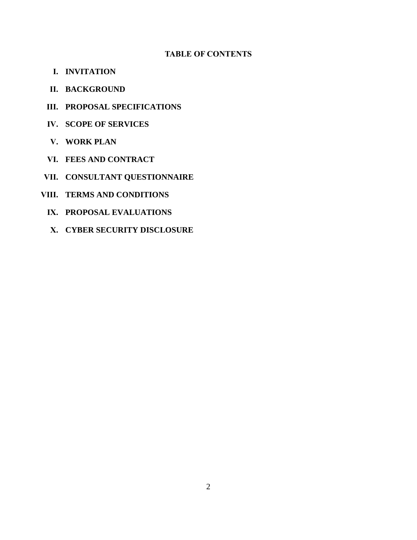#### **TABLE OF CONTENTS**

- **I. INVITATION**
- **II. BACKGROUND**
- **III. PROPOSAL SPECIFICATIONS**
- **IV. SCOPE OF SERVICES**
- **V. WORK PLAN**
- **VI. FEES AND CONTRACT**
- **VII. CONSULTANT QUESTIONNAIRE**
- **VIII. TERMS AND CONDITIONS**
	- **IX. PROPOSAL EVALUATIONS**
	- **X. CYBER SECURITY DISCLOSURE**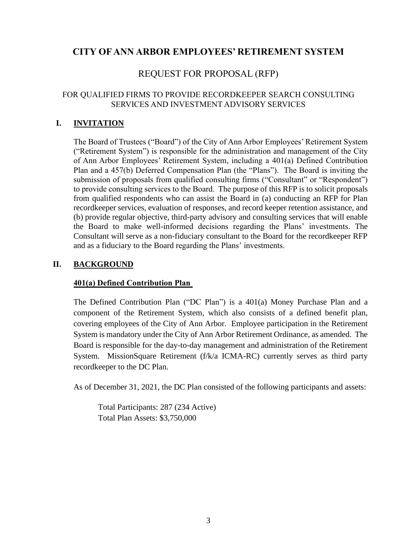# **CITY OF ANN ARBOR EMPLOYEES' RETIREMENT SYSTEM**

# REQUEST FOR PROPOSAL (RFP)

#### FOR QUALIFIED FIRMS TO PROVIDE RECORDKEEPER SEARCH CONSULTING SERVICES AND INVESTMENT ADVISORY SERVICES

## **I. INVITATION**

The Board of Trustees ("Board") of the City of Ann Arbor Employees' Retirement System ("Retirement System") is responsible for the administration and management of the City of Ann Arbor Employees' Retirement System, including a 401(a) Defined Contribution Plan and a 457(b) Deferred Compensation Plan (the "Plans"). The Board is inviting the submission of proposals from qualified consulting firms ("Consultant" or "Respondent") to provide consulting services to the Board. The purpose of this RFP is to solicit proposals from qualified respondents who can assist the Board in (a) conducting an RFP for Plan recordkeeper services, evaluation of responses, and record keeper retention assistance, and (b) provide regular objective, third-party advisory and consulting services that will enable the Board to make well-informed decisions regarding the Plans' investments. The Consultant will serve as a non-fiduciary consultant to the Board for the recordkeeper RFP and as a fiduciary to the Board regarding the Plans' investments.

## **II. BACKGROUND**

## **401(a) Defined Contribution Plan**

The Defined Contribution Plan ("DC Plan") is a 401(a) Money Purchase Plan and a component of the Retirement System, which also consists of a defined benefit plan, covering employees of the City of Ann Arbor. Employee participation in the Retirement System is mandatory under the City of Ann Arbor Retirement Ordinance, as amended. The Board is responsible for the day-to-day management and administration of the Retirement System. MissionSquare Retirement (f/k/a ICMA-RC) currently serves as third party recordkeeper to the DC Plan.

As of December 31, 2021, the DC Plan consisted of the following participants and assets:

Total Participants: 287 (234 Active) Total Plan Assets: \$3,750,000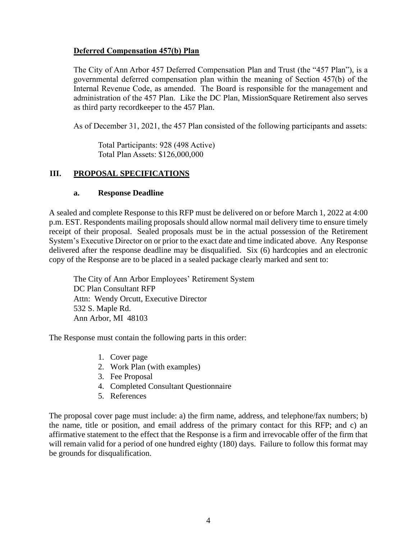#### **Deferred Compensation 457(b) Plan**

The City of Ann Arbor 457 Deferred Compensation Plan and Trust (the "457 Plan"), is a governmental deferred compensation plan within the meaning of Section 457(b) of the Internal Revenue Code, as amended. The Board is responsible for the management and administration of the 457 Plan. Like the DC Plan, MissionSquare Retirement also serves as third party recordkeeper to the 457 Plan.

As of December 31, 2021, the 457 Plan consisted of the following participants and assets:

Total Participants: 928 (498 Active) Total Plan Assets: \$126,000,000

## **III. PROPOSAL SPECIFICATIONS**

#### **a. Response Deadline**

A sealed and complete Response to this RFP must be delivered on or before March 1, 2022 at 4:00 p.m. EST. Respondents mailing proposals should allow normal mail delivery time to ensure timely receipt of their proposal. Sealed proposals must be in the actual possession of the Retirement System's Executive Director on or prior to the exact date and time indicated above. Any Response delivered after the response deadline may be disqualified. Six (6) hardcopies and an electronic copy of the Response are to be placed in a sealed package clearly marked and sent to:

The City of Ann Arbor Employees' Retirement System DC Plan Consultant RFP Attn: Wendy Orcutt, Executive Director 532 S. Maple Rd. Ann Arbor, MI 48103

The Response must contain the following parts in this order:

- 1. Cover page
- 2. Work Plan (with examples)
- 3. Fee Proposal
- 4. Completed Consultant Questionnaire
- 5. References

The proposal cover page must include: a) the firm name, address, and telephone/fax numbers; b) the name, title or position, and email address of the primary contact for this RFP; and c) an affirmative statement to the effect that the Response is a firm and irrevocable offer of the firm that will remain valid for a period of one hundred eighty (180) days. Failure to follow this format may be grounds for disqualification.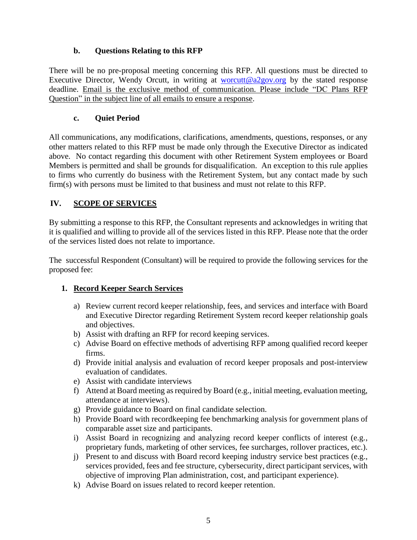## **b. Questions Relating to this RFP**

There will be no pre-proposal meeting concerning this RFP. All questions must be directed to Executive Director, Wendy Orcutt, in writing at [worcutt@a2gov.org](mailto:worcutt@a2gov.org) by the stated response deadline. Email is the exclusive method of communication. Please include "DC Plans RFP Question" in the subject line of all emails to ensure a response.

## **c. Quiet Period**

All communications, any modifications, clarifications, amendments, questions, responses, or any other matters related to this RFP must be made only through the Executive Director as indicated above. No contact regarding this document with other Retirement System employees or Board Members is permitted and shall be grounds for disqualification. An exception to this rule applies to firms who currently do business with the Retirement System, but any contact made by such firm(s) with persons must be limited to that business and must not relate to this RFP.

## **IV. SCOPE OF SERVICES**

By submitting a response to this RFP, the Consultant represents and acknowledges in writing that it is qualified and willing to provide all of the services listed in this RFP. Please note that the order of the services listed does not relate to importance.

The successful Respondent (Consultant) will be required to provide the following services for the proposed fee:

## **1. Record Keeper Search Services**

- a) Review current record keeper relationship, fees, and services and interface with Board and Executive Director regarding Retirement System record keeper relationship goals and objectives.
- b) Assist with drafting an RFP for record keeping services.
- c) Advise Board on effective methods of advertising RFP among qualified record keeper firms.
- d) Provide initial analysis and evaluation of record keeper proposals and post-interview evaluation of candidates.
- e) Assist with candidate interviews
- f) Attend at Board meeting as required by Board (e.g., initial meeting, evaluation meeting, attendance at interviews).
- g) Provide guidance to Board on final candidate selection.
- h) Provide Board with recordkeeping fee benchmarking analysis for government plans of comparable asset size and participants.
- i) Assist Board in recognizing and analyzing record keeper conflicts of interest (e.g., proprietary funds, marketing of other services, fee surcharges, rollover practices, etc.).
- j) Present to and discuss with Board record keeping industry service best practices (e.g., services provided, fees and fee structure, cybersecurity, direct participant services, with objective of improving Plan administration, cost, and participant experience).
- k) Advise Board on issues related to record keeper retention.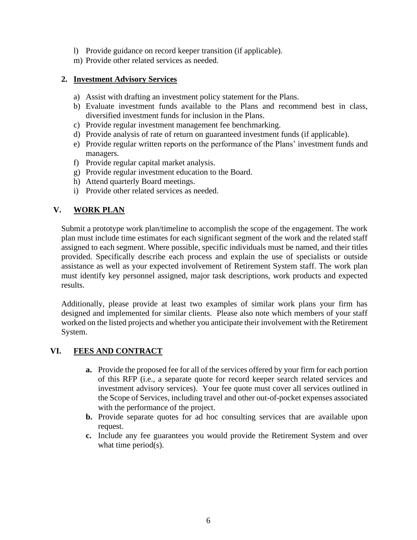- l) Provide guidance on record keeper transition (if applicable).
- m) Provide other related services as needed.

#### **2. Investment Advisory Services**

- a) Assist with drafting an investment policy statement for the Plans.
- b) Evaluate investment funds available to the Plans and recommend best in class, diversified investment funds for inclusion in the Plans.
- c) Provide regular investment management fee benchmarking.
- d) Provide analysis of rate of return on guaranteed investment funds (if applicable).
- e) Provide regular written reports on the performance of the Plans' investment funds and managers.
- f) Provide regular capital market analysis.
- g) Provide regular investment education to the Board.
- h) Attend quarterly Board meetings.
- i) Provide other related services as needed.

## **V. WORK PLAN**

Submit a prototype work plan/timeline to accomplish the scope of the engagement. The work plan must include time estimates for each significant segment of the work and the related staff assigned to each segment. Where possible, specific individuals must be named, and their titles provided. Specifically describe each process and explain the use of specialists or outside assistance as well as your expected involvement of Retirement System staff. The work plan must identify key personnel assigned, major task descriptions, work products and expected results.

Additionally, please provide at least two examples of similar work plans your firm has designed and implemented for similar clients. Please also note which members of your staff worked on the listed projects and whether you anticipate their involvement with the Retirement System.

## **VI. FEES AND CONTRACT**

- **a.** Provide the proposed fee for all of the services offered by your firm for each portion of this RFP (i.e., a separate quote for record keeper search related services and investment advisory services). Your fee quote must cover all services outlined in the Scope of Services, including travel and other out-of-pocket expenses associated with the performance of the project.
- **b.** Provide separate quotes for ad hoc consulting services that are available upon request.
- **c.** Include any fee guarantees you would provide the Retirement System and over what time period(s).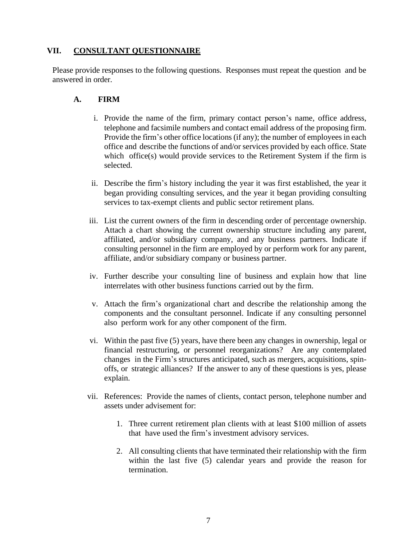## **VII. CONSULTANT QUESTIONNAIRE**

Please provide responses to the following questions. Responses must repeat the question and be answered in order.

#### **A. FIRM**

- i. Provide the name of the firm, primary contact person's name, office address, telephone and facsimile numbers and contact email address of the proposing firm. Provide the firm's other office locations (if any); the number of employees in each office and describe the functions of and/or services provided by each office. State which office(s) would provide services to the Retirement System if the firm is selected.
- ii. Describe the firm's history including the year it was first established, the year it began providing consulting services, and the year it began providing consulting services to tax-exempt clients and public sector retirement plans.
- iii. List the current owners of the firm in descending order of percentage ownership. Attach a chart showing the current ownership structure including any parent, affiliated, and/or subsidiary company, and any business partners. Indicate if consulting personnel in the firm are employed by or perform work for any parent, affiliate, and/or subsidiary company or business partner.
- iv. Further describe your consulting line of business and explain how that line interrelates with other business functions carried out by the firm.
- v. Attach the firm's organizational chart and describe the relationship among the components and the consultant personnel. Indicate if any consulting personnel also perform work for any other component of the firm.
- vi. Within the past five (5) years, have there been any changes in ownership, legal or financial restructuring, or personnel reorganizations? Are any contemplated changes in the Firm's structures anticipated, such as mergers, acquisitions, spinoffs, or strategic alliances? If the answer to any of these questions is yes, please explain.
- vii. References: Provide the names of clients, contact person, telephone number and assets under advisement for:
	- 1. Three current retirement plan clients with at least \$100 million of assets that have used the firm's investment advisory services.
	- 2. All consulting clients that have terminated their relationship with the firm within the last five (5) calendar years and provide the reason for termination.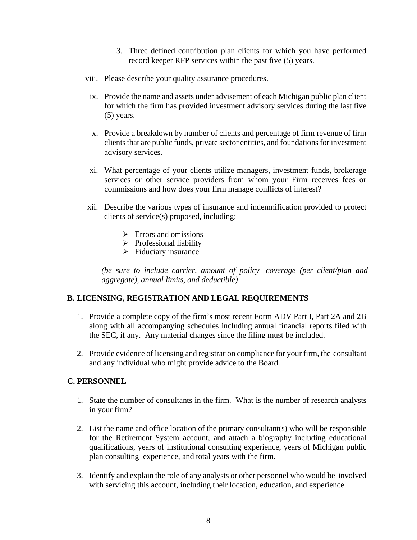- 3. Three defined contribution plan clients for which you have performed record keeper RFP services within the past five (5) years.
- viii. Please describe your quality assurance procedures.
	- ix. Provide the name and assets under advisement of each Michigan public plan client for which the firm has provided investment advisory services during the last five (5) years.
	- x. Provide a breakdown by number of clients and percentage of firm revenue of firm clients that are public funds, private sector entities, and foundations for investment advisory services.
- xi. What percentage of your clients utilize managers, investment funds, brokerage services or other service providers from whom your Firm receives fees or commissions and how does your firm manage conflicts of interest?
- xii. Describe the various types of insurance and indemnification provided to protect clients of service(s) proposed, including:
	- $\triangleright$  Errors and omissions
	- ➢ Professional liability
	- ➢ Fiduciary insurance

*(be sure to include carrier, amount of policy coverage (per client/plan and aggregate), annual limits, and deductible)*

#### **B. LICENSING, REGISTRATION AND LEGAL REQUIREMENTS**

- 1. Provide a complete copy of the firm's most recent Form ADV Part I, Part 2A and 2B along with all accompanying schedules including annual financial reports filed with the SEC, if any. Any material changes since the filing must be included.
- 2. Provide evidence of licensing and registration compliance for your firm, the consultant and any individual who might provide advice to the Board.

#### **C. PERSONNEL**

- 1. State the number of consultants in the firm. What is the number of research analysts in your firm?
- 2. List the name and office location of the primary consultant(s) who will be responsible for the Retirement System account, and attach a biography including educational qualifications, years of institutional consulting experience, years of Michigan public plan consulting experience, and total years with the firm.
- 3. Identify and explain the role of any analysts or other personnel who would be involved with servicing this account, including their location, education, and experience.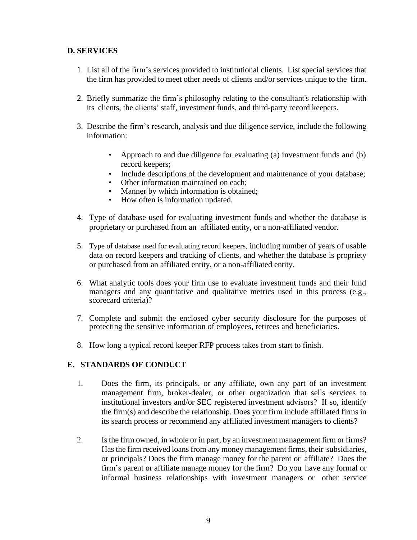## **D. SERVICES**

- 1. List all of the firm's services provided to institutional clients. List special services that the firm has provided to meet other needs of clients and/or services unique to the firm.
- 2. Briefly summarize the firm's philosophy relating to the consultant's relationship with its clients, the clients' staff, investment funds, and third-party record keepers.
- 3. Describe the firm's research, analysis and due diligence service, include the following information:
	- Approach to and due diligence for evaluating (a) investment funds and (b) record keepers;
	- Include descriptions of the development and maintenance of your database;
	- Other information maintained on each;<br>• Manner by which information is obtain
	- Manner by which information is obtained;
	- How often is information updated.
- 4. Type of database used for evaluating investment funds and whether the database is proprietary or purchased from an affiliated entity, or a non-affiliated vendor.
- 5. Type of database used for evaluating record keepers, including number of years of usable data on record keepers and tracking of clients, and whether the database is propriety or purchased from an affiliated entity, or a non-affiliated entity.
- 6. What analytic tools does your firm use to evaluate investment funds and their fund managers and any quantitative and qualitative metrics used in this process (e.g., scorecard criteria)?
- 7. Complete and submit the enclosed cyber security disclosure for the purposes of protecting the sensitive information of employees, retirees and beneficiaries.
- 8. How long a typical record keeper RFP process takes from start to finish.

## **E. STANDARDS OF CONDUCT**

- 1. Does the firm, its principals, or any affiliate, own any part of an investment management firm, broker-dealer, or other organization that sells services to institutional investors and/or SEC registered investment advisors? If so, identify the firm(s) and describe the relationship. Does your firm include affiliated firms in its search process or recommend any affiliated investment managers to clients?
- 2. Isthe firm owned, in whole or in part, by an investment management firm or firms? Has the firm received loans from any money management firms, their subsidiaries, or principals? Does the firm manage money for the parent or affiliate? Does the firm's parent or affiliate manage money for the firm? Do you have any formal or informal business relationships with investment managers or other service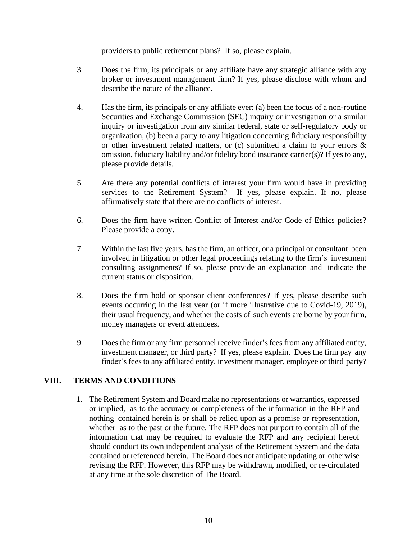providers to public retirement plans? If so, please explain.

- 3. Does the firm, its principals or any affiliate have any strategic alliance with any broker or investment management firm? If yes, please disclose with whom and describe the nature of the alliance.
- 4. Has the firm, its principals or any affiliate ever: (a) been the focus of a non-routine Securities and Exchange Commission (SEC) inquiry or investigation or a similar inquiry or investigation from any similar federal, state or self-regulatory body or organization, (b) been a party to any litigation concerning fiduciary responsibility or other investment related matters, or (c) submitted a claim to your errors & omission, fiduciary liability and/or fidelity bond insurance carrier(s)? If yes to any, please provide details.
- 5. Are there any potential conflicts of interest your firm would have in providing services to the Retirement System? If yes, please explain. If no, please affirmatively state that there are no conflicts of interest.
- 6. Does the firm have written Conflict of Interest and/or Code of Ethics policies? Please provide a copy.
- 7. Within the last five years, has the firm, an officer, or a principal or consultant been involved in litigation or other legal proceedings relating to the firm's investment consulting assignments? If so, please provide an explanation and indicate the current status or disposition.
- 8. Does the firm hold or sponsor client conferences? If yes, please describe such events occurring in the last year (or if more illustrative due to Covid-19, 2019), their usual frequency, and whether the costs of such events are borne by your firm, money managers or event attendees.
- 9. Does the firm or any firm personnel receive finder's fees from any affiliated entity, investment manager, or third party? If yes, please explain. Does the firm pay any finder's feesto any affiliated entity, investment manager, employee or third party?

## **VIII. TERMS AND CONDITIONS**

1. The Retirement System and Board make no representations or warranties, expressed or implied, as to the accuracy or completeness of the information in the RFP and nothing contained herein is or shall be relied upon as a promise or representation, whether as to the past or the future. The RFP does not purport to contain all of the information that may be required to evaluate the RFP and any recipient hereof should conduct its own independent analysis of the Retirement System and the data contained or referenced herein. The Board does not anticipate updating or otherwise revising the RFP. However, this RFP may be withdrawn, modified, or re-circulated at any time at the sole discretion of The Board.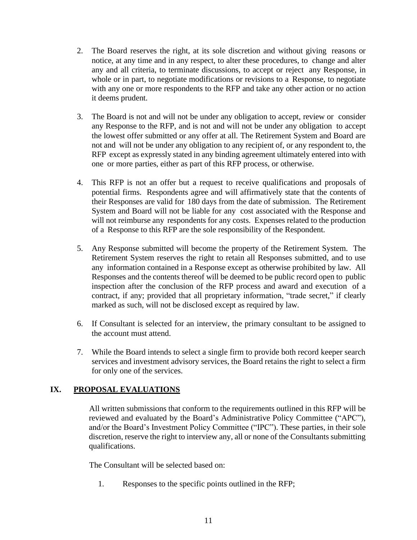- 2. The Board reserves the right, at its sole discretion and without giving reasons or notice, at any time and in any respect, to alter these procedures, to change and alter any and all criteria, to terminate discussions, to accept or reject any Response, in whole or in part, to negotiate modifications or revisions to a Response, to negotiate with any one or more respondents to the RFP and take any other action or no action it deems prudent.
- 3. The Board is not and will not be under any obligation to accept, review or consider any Response to the RFP, and is not and will not be under any obligation to accept the lowest offer submitted or any offer at all. The Retirement System and Board are not and will not be under any obligation to any recipient of, or any respondent to, the RFP except as expressly stated in any binding agreement ultimately entered into with one or more parties, either as part of this RFP process, or otherwise.
- 4. This RFP is not an offer but a request to receive qualifications and proposals of potential firms. Respondents agree and will affirmatively state that the contents of their Responses are valid for 180 days from the date of submission. The Retirement System and Board will not be liable for any cost associated with the Response and will not reimburse any respondents for any costs. Expenses related to the production of a Response to this RFP are the sole responsibility of the Respondent.
- 5. Any Response submitted will become the property of the Retirement System. The Retirement System reserves the right to retain all Responses submitted, and to use any information contained in a Response except as otherwise prohibited by law. All Responses and the contents thereof will be deemed to be public record open to public inspection after the conclusion of the RFP process and award and execution of a contract, if any; provided that all proprietary information, "trade secret," if clearly marked as such, will not be disclosed except as required by law.
- 6. If Consultant is selected for an interview, the primary consultant to be assigned to the account must attend.
- 7. While the Board intends to select a single firm to provide both record keeper search services and investment advisory services, the Board retains the right to select a firm for only one of the services.

## **IX. PROPOSAL EVALUATIONS**

All written submissions that conform to the requirements outlined in this RFP will be reviewed and evaluated by the Board's Administrative Policy Committee ("APC"), and/or the Board's Investment Policy Committee ("IPC"). These parties, in their sole discretion, reserve the right to interview any, all or none of the Consultants submitting qualifications.

The Consultant will be selected based on:

1. Responses to the specific points outlined in the RFP;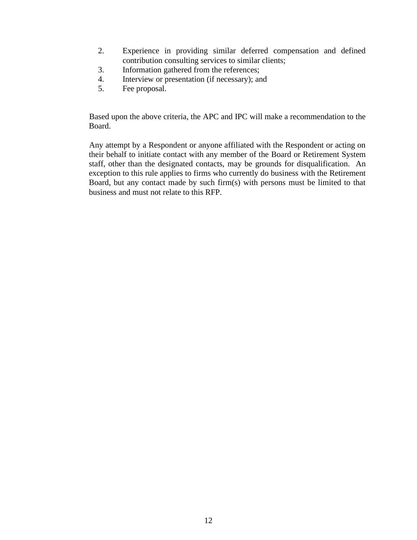- 2. Experience in providing similar deferred compensation and defined contribution consulting services to similar clients;
- 3. Information gathered from the references;
- 4. Interview or presentation (if necessary); and
- 5. Fee proposal.

Based upon the above criteria, the APC and IPC will make a recommendation to the Board.

Any attempt by a Respondent or anyone affiliated with the Respondent or acting on their behalf to initiate contact with any member of the Board or Retirement System staff, other than the designated contacts, may be grounds for disqualification. An exception to this rule applies to firms who currently do business with the Retirement Board, but any contact made by such firm(s) with persons must be limited to that business and must not relate to this RFP.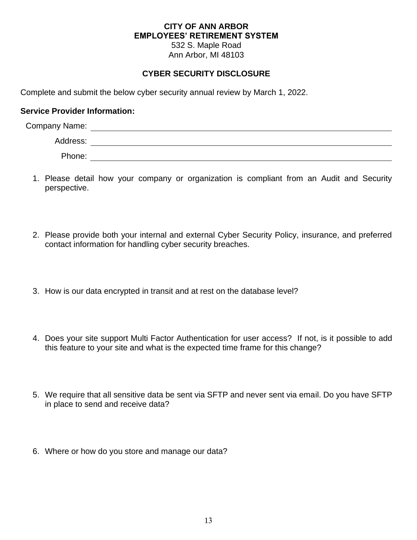#### **CITY OF ANN ARBOR EMPLOYEES' RETIREMENT SYSTEM** 532 S. Maple Road

Ann Arbor, MI 48103

## **CYBER SECURITY DISCLOSURE**

Complete and submit the below cyber security annual review by March 1, 2022.

#### **Service Provider Information:**

| <b>Company Name:</b> |  |
|----------------------|--|
| Address:             |  |
| Phone:               |  |

- 1. Please detail how your company or organization is compliant from an Audit and Security perspective.
- 2. Please provide both your internal and external Cyber Security Policy, insurance, and preferred contact information for handling cyber security breaches.
- 3. How is our data encrypted in transit and at rest on the database level?
- 4. Does your site support Multi Factor Authentication for user access? If not, is it possible to add this feature to your site and what is the expected time frame for this change?
- 5. We require that all sensitive data be sent via SFTP and never sent via email. Do you have SFTP in place to send and receive data?
- 6. Where or how do you store and manage our data?